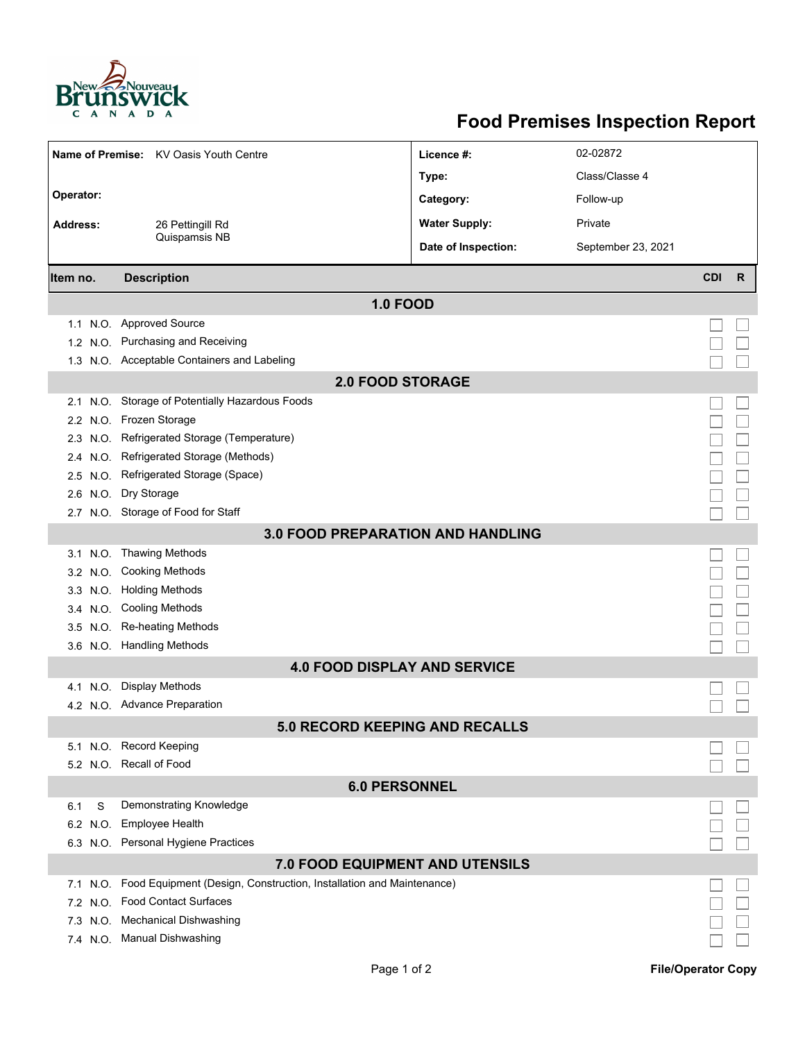

## **Food Premises Inspection Report**

|                                        | Name of Premise: KV Oasis Youth Centre                                   | Licence #:           | 02-02872           |            |   |  |  |  |
|----------------------------------------|--------------------------------------------------------------------------|----------------------|--------------------|------------|---|--|--|--|
|                                        |                                                                          | Type:                | Class/Classe 4     |            |   |  |  |  |
| Operator:                              |                                                                          | Category:            | Follow-up          |            |   |  |  |  |
| <b>Address:</b><br>26 Pettingill Rd    |                                                                          | <b>Water Supply:</b> | Private            |            |   |  |  |  |
|                                        | Quispamsis NB                                                            | Date of Inspection:  | September 23, 2021 |            |   |  |  |  |
|                                        |                                                                          |                      |                    |            |   |  |  |  |
| Item no.                               | <b>Description</b>                                                       |                      |                    | <b>CDI</b> | R |  |  |  |
|                                        | <b>1.0 FOOD</b>                                                          |                      |                    |            |   |  |  |  |
| 1.1                                    | N.O. Approved Source                                                     |                      |                    |            |   |  |  |  |
|                                        | 1.2 N.O. Purchasing and Receiving                                        |                      |                    |            |   |  |  |  |
|                                        | 1.3 N.O. Acceptable Containers and Labeling                              |                      |                    |            |   |  |  |  |
| <b>2.0 FOOD STORAGE</b>                |                                                                          |                      |                    |            |   |  |  |  |
|                                        | 2.1 N.O. Storage of Potentially Hazardous Foods                          |                      |                    |            |   |  |  |  |
|                                        | 2.2 N.O. Frozen Storage                                                  |                      |                    |            |   |  |  |  |
|                                        | 2.3 N.O. Refrigerated Storage (Temperature)                              |                      |                    |            |   |  |  |  |
| N.O.<br>2.4                            | Refrigerated Storage (Methods)                                           |                      |                    |            |   |  |  |  |
| N.O.<br>2.5                            | Refrigerated Storage (Space)                                             |                      |                    |            |   |  |  |  |
|                                        | 2.6 N.O. Dry Storage                                                     |                      |                    |            |   |  |  |  |
|                                        | 2.7 N.O. Storage of Food for Staff                                       |                      |                    |            |   |  |  |  |
|                                        | <b>3.0 FOOD PREPARATION AND HANDLING</b>                                 |                      |                    |            |   |  |  |  |
| N.O.<br>3.1                            | <b>Thawing Methods</b>                                                   |                      |                    |            |   |  |  |  |
|                                        | 3.2 N.O. Cooking Methods                                                 |                      |                    |            |   |  |  |  |
|                                        | 3.3 N.O. Holding Methods                                                 |                      |                    |            |   |  |  |  |
|                                        | 3.4 N.O. Cooling Methods                                                 |                      |                    |            |   |  |  |  |
|                                        | 3.5 N.O. Re-heating Methods                                              |                      |                    |            |   |  |  |  |
|                                        | 3.6 N.O. Handling Methods                                                |                      |                    |            |   |  |  |  |
| <b>4.0 FOOD DISPLAY AND SERVICE</b>    |                                                                          |                      |                    |            |   |  |  |  |
| N.O.<br>4.1                            | <b>Display Methods</b>                                                   |                      |                    |            |   |  |  |  |
|                                        | 4.2 N.O. Advance Preparation                                             |                      |                    |            |   |  |  |  |
| 5.0 RECORD KEEPING AND RECALLS         |                                                                          |                      |                    |            |   |  |  |  |
|                                        | 5.1 N.O. Record Keeping                                                  |                      |                    |            |   |  |  |  |
|                                        | 5.2 N.O. Recall of Food                                                  |                      |                    |            |   |  |  |  |
|                                        | <b>6.0 PERSONNEL</b>                                                     |                      |                    |            |   |  |  |  |
| S<br>6.1                               | Demonstrating Knowledge                                                  |                      |                    |            |   |  |  |  |
| 6.2 N.O.                               | <b>Employee Health</b>                                                   |                      |                    |            |   |  |  |  |
|                                        | 6.3 N.O. Personal Hygiene Practices                                      |                      |                    |            |   |  |  |  |
| <b>7.0 FOOD EQUIPMENT AND UTENSILS</b> |                                                                          |                      |                    |            |   |  |  |  |
| 7.1                                    | N.O. Food Equipment (Design, Construction, Installation and Maintenance) |                      |                    |            |   |  |  |  |
| 7.2 N.O.                               | <b>Food Contact Surfaces</b>                                             |                      |                    |            |   |  |  |  |
| 7.3 N.O.                               | <b>Mechanical Dishwashing</b>                                            |                      |                    |            |   |  |  |  |
|                                        | 7.4 N.O. Manual Dishwashing                                              |                      |                    |            |   |  |  |  |